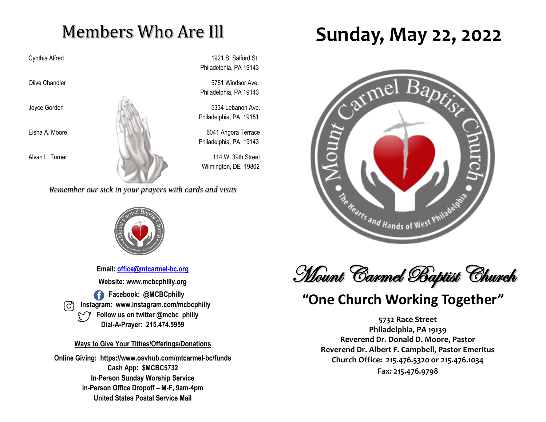# Members Who Are Ill

Cynthia Alfred 1921 S. Salford St. Philadelphia, PA 19143

Olive Chandler **5751** Windsor Ave. Philadelphia, PA 19143

Philadelphia, PA 19151

Philadelphia, PA 19143

Wilmington, DE 19802

*Remember our sick in your prayers with cards and visits*



**Email: [office@mtcarmel-bc.org](mailto:office@mtcarmel-bc.org) Website: www.mcbcphilly.org Facebook: @MCBCphilly Instagram: www.instagram.com/mcbcphilly Follow us on twitter @mcbc\_philly Dial-A-Prayer: 215.474.5959**

#### **Ways to Give Your Tithes/Offerings/Donations**

**Online Giving: https://www.osvhub.com/mtcarmel-bc/funds Cash App: \$MCBC5732 In-Person Sunday Worship Service In-Person Office Dropoff – M-F, 9am-4pm United States Postal Service Mail**

# **Sunday, May 22, 2022**





### **"One Church Working Together"**

**5732 Race Street Philadelphia, PA 19139 Reverend Dr. Donald D. Moore, Pastor Reverend Dr. Albert F. Campbell, Pastor Emeritus Church Office: 215.476.5320 or 215.476.1034 Fax: 215.476.9798**